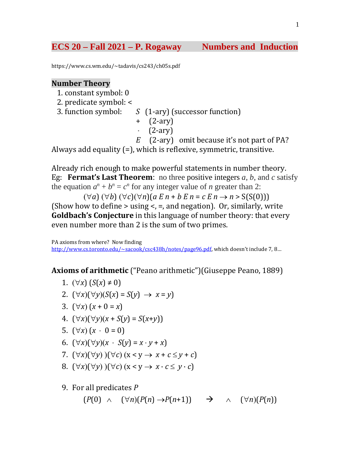# **ECS 20 – Fall 2021 – P. Rogaway Numbers and Induction**

https://www.cs.wm.edu/~tadavis/cs243/ch05s.pdf

### **Number Theory**

1. constant symbol: 0

- 2. predicate symbol: <
	- S (1-ary) (successor function)
		- + (2-ary)
		- **·** (2-ary)
		- *E* (2-ary) omit because it's not part of PA?

Always add equality (=), which is reflexive, symmetric, transitive.

Already rich enough to make powerful statements in number theory. Eg: **Fermat's Last Theorem**: no three positive integers *a*, *b*, and *c* satisfy the equation  $a^n + b^n = c^n$  for any integer value of *n* greater than 2:

 $(\forall a)$  ( $\forall b$ ) ( $\forall c$ )( $\forall n$ )(*a E n* + *b E n* = *c E n* → *n* > S(S(0))) (Show how to define  $>$  using  $<$ ,  $=$ , and negation). Or, similarly, write **Goldbach's Conjecture** in this language of number theory: that every even number more than 2 is the sum of two primes.

PA axioms from where? Now finding [http://www.cs.toronto.edu/~sacook/csc438h/notes/page96.pdf,](http://www.cs.toronto.edu/%7Esacook/csc438h/notes/page96.pdf) which doesn't include 7, 8...

### **Axioms of arithmetic** ("Peano arithmetic")(Giuseppe Peano, 1889)

- 1.  $(∀x) (S(x) ≠ 0)$
- 2.  $(\forall x)(\forall y)(S(x) = S(y) \rightarrow x = y)$
- 3.  $(\forall x) (x + 0 = x)$
- 4. (∀*x*)(∀*y*)(*x* + *S*(*y*) = *S*(*x*+*y*))
- 5.  $(\forall x) (x \cdot 0 = 0)$
- 6.  $(\forall x)(\forall y)(x S(y) = x \cdot y + x)$
- 7.  $(\forall x)(\forall y)(\forall c)(x < y \rightarrow x + c \leq y + c)$
- 8.  $(\forall x)(\forall y)(\forall c)(x < y \rightarrow x \cdot c \leq y \cdot c)$
- 9. For all predicates *P*

 $(P(0) \wedge (\forall n)(P(n) \rightarrow P(n+1)) \rightarrow \wedge (\forall n)(P(n))$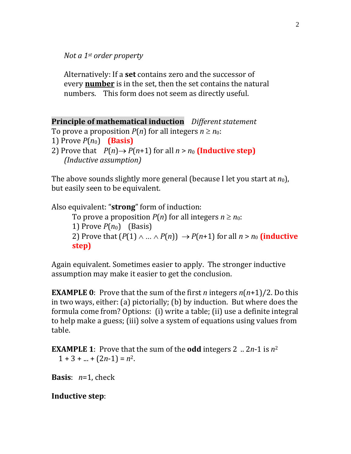*Not a 1st order property*

Alternatively: If a **set** contains zero and the successor of every **[number](http://www.britannica.com/EBchecked/topic/422286/number)** is in the set, then the set contains the natural numbers. This form does not seem as directly useful.

**Principle of mathematical induction** *Different statement*

```
To prove a proposition P(n) for all integers n \geq n_0:
```

```
1) Prove P(n_0) (Basis)
```
2) Prove that  $P(n) \rightarrow P(n+1)$  for all  $n > n_0$  (Inductive step) *(Inductive assumption)*

The above sounds slightly more general (because I let you start at *n*0), but easily seen to be equivalent.

Also equivalent: "**strong**" form of induction: To prove a proposition  $P(n)$  for all integers  $n \ge n_0$ : 1) Prove  $P(n_0)$  (Basis) 2) Prove that  $(P(1) \wedge ... \wedge P(n)) \rightarrow P(n+1)$  for all  $n > n_0$  (inductive **step)** 

Again equivalent. Sometimes easier to apply. The stronger inductive assumption may make it easier to get the conclusion.

**EXAMPLE 0**: Prove that the sum of the first *n* integers *n*(*n*+1)/2. Do this in two ways, either: (a) pictorially; (b) by induction. But where does the formula come from? Options: (i) write a table; (ii) use a definite integral to help make a guess; (iii) solve a system of equations using values from table.

**EXAMPLE 1**: Prove that the sum of the **odd** integers 2 .. 2*n*-1 is *n*<sup>2</sup>  $1 + 3 + ... + (2n-1) = n^2$ .

**Basis**: *n*=1, check

**Inductive step**: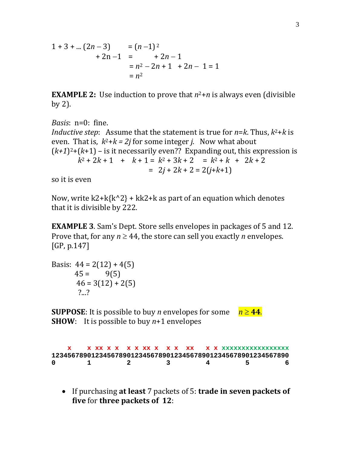$$
1+3+ ... (2n-3) = (n-1)2+ 2n-1 = +2n-1= n2 - 2n + 1 + 2n - 1 = 1= n2
$$

**EXAMPLE 2:** Use induction to prove that  $n^2+n$  is always even (divisible by 2).

*Basis*: n=0: fine. *Inductive step*: Assume that the statement is true for  $n = k$ . Thus,  $k^2 + k$  is even. That is,  $k^2+k = 2j$  for some integer *j*. Now what about  $(k+1)^2+(k+1)$  – is it necessarily even?? Expanding out, this expression is  $k^2 + 2k + 1$  +  $k + 1 = k^2 + 3k + 2$  =  $k^2 + k$  +  $2k + 2$  $= 2j + 2k + 2 = 2(j+k+1)$ 

so it is even

Now, write  $k2+k\{k^2\}$  + kk2+k as part of an equation which denotes that it is divisible by 222.

**EXAMPLE 3**. Sam's Dept. Store sells envelopes in packages of 5 and 12. Prove that, for any  $n \geq 44$ , the store can sell you exactly *n* envelopes. [GP, p.147]

Basis:  $44 = 2(12) + 4(5)$ <br> $45 = 9(5)$  $45 =$  $46 = 3(12) + 2(5)$ ?...?

**SUPPOSE:** It is possible to buy *n* envelopes for some  $n \ge 44$ . **SHOW**: It is possible to buy *n*+1 envelopes

| 123456789012345678901234567890123456789012345678901234567890 |  |  |  |  |  |  |  |  |    |
|--------------------------------------------------------------|--|--|--|--|--|--|--|--|----|
| $\Omega$<br>$\sim$ $\sim$ $\sim$ $\sim$ $\sim$               |  |  |  |  |  |  |  |  | -6 |

• If purchasing **at least** 7 packets of 5: **trade in seven packets of five** for **three packets of 12**: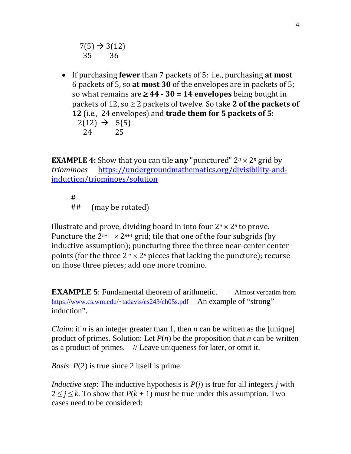$7(5) \rightarrow 3(12)$ <br>35 36 35

• If purchasing **fewer** than 7 packets of 5: i.e., purchasing **at most** 6 packets of 5, so **at most 30** of the envelopes are in packets of 5; so what remains are ≥ **44 - 30 = 14 envelopes** being bought in packets of 12, so ≥ 2 packets of twelve. So take **2 of the packets of 12** (i.e., 24 envelopes) and **trade them for 5 packets of 5:**  $2(12) \rightarrow 5(5)$ <br>24 25 24 25

**EXAMPLE 4:** Show that you can tile **any** "punctured"  $2^n \times 2^n$  grid by *triominoes* https://undergroundmathematics.org/divisibility-and *triominoes* [https://undergroundmathematics.org/divisibility-and](https://undergroundmathematics.org/divisibility-and-induction/triominoes/solution)[induction/triominoes/solution](https://undergroundmathematics.org/divisibility-and-induction/triominoes/solution)

#<br>## (may be rotated)

Illustrate and prove, dividing board in into four  $2^n \times 2^n$  to prove. Puncture the  $2^{n+1} \times 2^{n+1}$  grid; tile that one of the four subgrids (by inductive assumption); puncturing three the three near-center center points (for the three  $2^n \times 2^n$  pieces that lacking the puncture); recurse on those three pieces; add one more tromino.

**EXAMPLE 5:** Fundamental theorem of arithmetic. – Almost verbatim from [https://www.cs.wm.edu/~tadavis/cs243/ch05s.pdf](https://www.cs.wm.edu/%7Etadavis/cs243/ch05s.pdf) An example of "strong" induction".

*Claim*: if *n* is an integer greater than 1, then *n* can be written as the [unique] product of primes. Solution: Let  $P(n)$  be the proposition that *n* can be written as a product of primes. // Leave uniqueness for later, or omit it.

*Basis: P(2)* is true since 2 itself is prime.

*Inductive step*: The inductive hypothesis is *P*(*j*) is true for all integers *j* with  $2 \leq j \leq k$ . To show that  $P(k + 1)$  must be true under this assumption. Two cases need to be considered: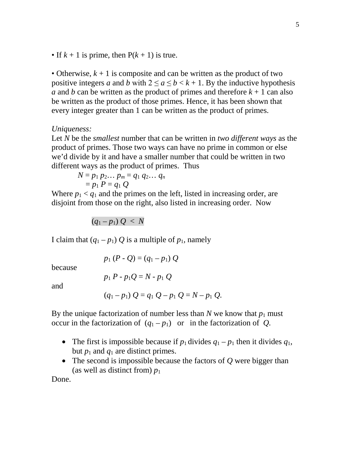• If  $k + 1$  is prime, then  $P(k + 1)$  is true.

• Otherwise,  $k + 1$  is composite and can be written as the product of two positive integers *a* and *b* with  $2 \le a \le b < k + 1$ . By the inductive hypothesis *a* and *b* can be written as the product of primes and therefore  $k + 1$  can also be written as the product of those primes. Hence, it has been shown that every integer greater than 1 can be written as the product of primes.

### *Uniqueness:*

Let *N* be the *smallest* number that can be written in *two different ways* as the product of primes. Those two ways can have no prime in common or else we'd divide by it and have a smaller number that could be written in two different ways as the product of primes. Thus

$$
N=p_1 p_2 \dots p_m=q_1 q_2 \dots q_n
$$
  
=  $p_1 P=q_1 Q$ 

Where  $p_1 < q_1$  and the primes on the left, listed in increasing order, are disjoint from those on the right, also listed in increasing order. Now

$$
(q_1-p_1)\ Q\ <\ N
$$

I claim that  $(q_1 - p_1) Q$  is a multiple of  $p_1$ , namely

because

$$
p_1 P - p_1 Q = N - p_1 Q
$$

 $p_1 (P - Q) = (q_1 - p_1) Q$ 

and

$$
(q_1-p_1) Q = q_1 Q - p_1 Q = N - p_1 Q.
$$

By the unique factorization of number less than  $N$  we know that  $p_1$  must occur in the factorization of  $(q_1 - p_1)$  or in the factorization of *Q*.

- The first is impossible because if  $p_1$  divides  $q_1 p_1$  then it divides  $q_1$ , but  $p_1$  and  $q_1$  are distinct primes.
- The second is impossible because the factors of *Q* were bigger than (as well as distinct from)  $p_1$

Done.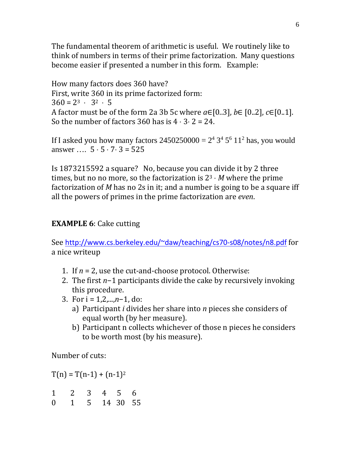The fundamental theorem of arithmetic is useful. We routinely like to think of numbers in terms of their prime factorization. Many questions become easier if presented a number in this form. Example:

How many factors does 360 have? First, write 360 in its prime factorized form:  $360 = 2^3 \cdot 3^2 \cdot 5$ A factor must be of the form 2a 3b 5c where *a*∈[0..3], *b*∈ [0..2], *c*∈[0..1]. So the number of factors 360 has is 4 **·** 3**·** 2 = 24.

If I asked you how many factors  $2450250000 = 2^4 3^4 5^6 11^2$  has, you would answer …. 5 **·** 5 **·** 7**·** 3 = 525

Is 1873215592 a square? No, because you can divide it by 2 three times, but no no more, so the factorization is 23 **·** *M* where the prime factorization of *M* has no 2s in it; and a number is going to be a square iff all the powers of primes in the prime factorization are *even*.

## **EXAMPLE 6**: Cake cutting

See [http://www.cs.berkeley.edu/~daw/teaching/cs70-s08/notes/n8.pdf](http://www.cs.berkeley.edu/%7Edaw/teaching/cs70-s08/notes/n8.pdf) for a nice writeup

- 1. If  $n = 2$ , use the cut-and-choose protocol. Otherwise:
- 2. The first *n*−1 participants divide the cake by recursively invoking this procedure.
- 3. For i = 1,2,...,*n*−1, do:
	- a) Participant *i* divides her share into *n* pieces she considers of equal worth (by her measure).
	- b) Participant n collects whichever of those n pieces he considers to be worth most (by his measure).

Number of cuts:

 $T(n) = T(n-1) + (n-1)^2$ 

1 2 3 4 5 6 0 1 5 14 30 55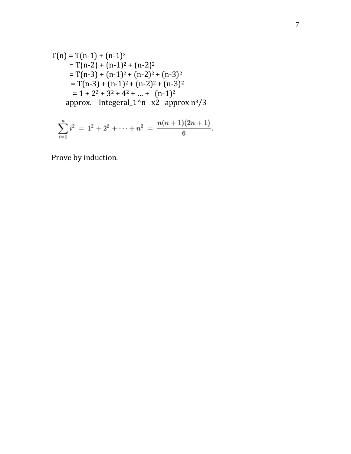$$
T(n) = T(n-1) + (n-1)^2
$$
  
= T(n-2) + (n-1)<sup>2</sup> + (n-2)<sup>2</sup>  
= T(n-3) + (n-1)<sup>2</sup> + (n-2)<sup>2</sup> + (n-3)<sup>2</sup>  
= T(n-3) + (n-1)<sup>2</sup> + (n-2)<sup>2</sup> + (n-3)<sup>2</sup>  
= 1 + 2<sup>2</sup> + 3<sup>2</sup> + 4<sup>2</sup> + ... + (n-1)<sup>2</sup>  
approx. Integral\_1<sup>^</sup>n x2 approx n<sup>3</sup>/3

$$
\sum_{i=1}^n i^2 \ = \ 1^2 + 2^2 + \cdots + n^2 \ = \ \frac{n(n+1)(2n+1)}{6}.
$$

Prove by induction.